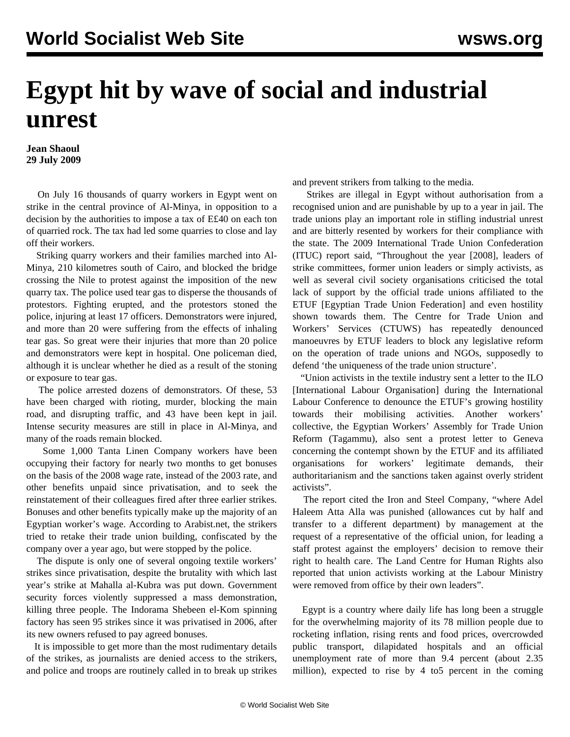## **Egypt hit by wave of social and industrial unrest**

**Jean Shaoul 29 July 2009**

 On July 16 thousands of quarry workers in Egypt went on strike in the central province of Al-Minya, in opposition to a decision by the authorities to impose a tax of E£40 on each ton of quarried rock. The tax had led some quarries to close and lay off their workers.

 Striking quarry workers and their families marched into Al-Minya, 210 kilometres south of Cairo, and blocked the bridge crossing the Nile to protest against the imposition of the new quarry tax. The police used tear gas to disperse the thousands of protestors. Fighting erupted, and the protestors stoned the police, injuring at least 17 officers. Demonstrators were injured, and more than 20 were suffering from the effects of inhaling tear gas. So great were their injuries that more than 20 police and demonstrators were kept in hospital. One policeman died, although it is unclear whether he died as a result of the stoning or exposure to tear gas.

 The police arrested dozens of demonstrators. Of these, 53 have been charged with rioting, murder, blocking the main road, and disrupting traffic, and 43 have been kept in jail. Intense security measures are still in place in Al-Minya, and many of the roads remain blocked.

 Some 1,000 Tanta Linen Company workers have been occupying their factory for nearly two months to get bonuses on the basis of the 2008 wage rate, instead of the 2003 rate, and other benefits unpaid since privatisation, and to seek the reinstatement of their colleagues fired after three earlier strikes. Bonuses and other benefits typically make up the majority of an Egyptian worker's wage. According to Arabist.net, the strikers tried to retake their trade union building, confiscated by the company over a year ago, but were stopped by the police.

 The dispute is only one of several ongoing textile workers' strikes since privatisation, despite the brutality with which last year's strike at Mahalla al-Kubra was put down. Government security forces violently suppressed a mass demonstration, killing three people. The Indorama Shebeen el-Kom spinning factory has seen 95 strikes since it was privatised in 2006, after its new owners refused to pay agreed bonuses.

 It is impossible to get more than the most rudimentary details of the strikes, as journalists are denied access to the strikers, and police and troops are routinely called in to break up strikes and prevent strikers from talking to the media.

 Strikes are illegal in Egypt without authorisation from a recognised union and are punishable by up to a year in jail. The trade unions play an important role in stifling industrial unrest and are bitterly resented by workers for their compliance with the state. The 2009 International Trade Union Confederation (ITUC) report said, "Throughout the year [2008], leaders of strike committees, former union leaders or simply activists, as well as several civil society organisations criticised the total lack of support by the official trade unions affiliated to the ETUF [Egyptian Trade Union Federation] and even hostility shown towards them. The Centre for Trade Union and Workers' Services (CTUWS) has repeatedly denounced manoeuvres by ETUF leaders to block any legislative reform on the operation of trade unions and NGOs, supposedly to defend 'the uniqueness of the trade union structure'.

 "Union activists in the textile industry sent a letter to the ILO [International Labour Organisation] during the International Labour Conference to denounce the ETUF's growing hostility towards their mobilising activities. Another workers' collective, the Egyptian Workers' Assembly for Trade Union Reform (Tagammu), also sent a protest letter to Geneva concerning the contempt shown by the ETUF and its affiliated organisations for workers' legitimate demands, their authoritarianism and the sanctions taken against overly strident activists".

 The report cited the Iron and Steel Company, "where Adel Haleem Atta Alla was punished (allowances cut by half and transfer to a different department) by management at the request of a representative of the official union, for leading a staff protest against the employers' decision to remove their right to health care. The Land Centre for Human Rights also reported that union activists working at the Labour Ministry were removed from office by their own leaders".

 Egypt is a country where daily life has long been a struggle for the overwhelming majority of its 78 million people due to rocketing inflation, rising rents and food prices, overcrowded public transport, dilapidated hospitals and an official unemployment rate of more than 9.4 percent (about 2.35 million), expected to rise by 4 to5 percent in the coming